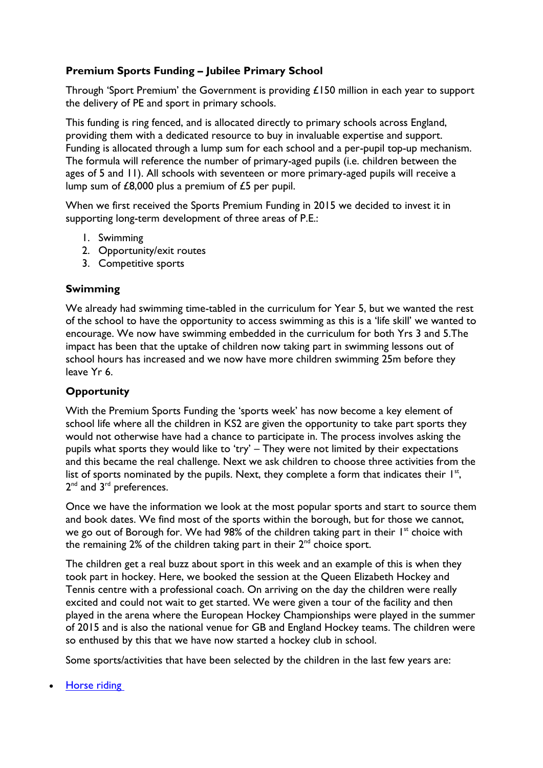## **Premium Sports Funding – Jubilee Primary School**

Through 'Sport Premium' the Government is providing £150 million in each year to support the delivery of PE and sport in primary schools.

This funding is ring fenced, and is allocated directly to primary schools across England, providing them with a dedicated resource to buy in invaluable expertise and support. Funding is allocated through a lump sum for each school and a per-pupil top-up mechanism. The formula will reference the number of primary-aged pupils (i.e. children between the ages of 5 and 11). All schools with seventeen or more primary-aged pupils will receive a lump sum of £8,000 plus a premium of £5 per pupil.

When we first received the Sports Premium Funding in 2015 we decided to invest it in supporting long-term development of three areas of P.E.:

- 1. Swimming
- 2. Opportunity/exit routes
- 3. Competitive sports

## **Swimming**

We already had swimming time-tabled in the curriculum for Year 5, but we wanted the rest of the school to have the opportunity to access swimming as this is a 'life skill' we wanted to encourage. We now have swimming embedded in the curriculum for both Yrs 3 and 5.The impact has been that the uptake of children now taking part in swimming lessons out of school hours has increased and we now have more children swimming 25m before they leave Yr 6.

## **Opportunity**

With the Premium Sports Funding the 'sports week' has now become a key element of school life where all the children in KS2 are given the opportunity to take part sports they would not otherwise have had a chance to participate in. The process involves asking the pupils what sports they would like to 'try' - They were not limited by their expectations and this became the real challenge. Next we ask children to choose three activities from the list of sports nominated by the pupils. Next, they complete a form that indicates their  $I^{st}$ , 2<sup>nd</sup> and 3<sup>rd</sup> preferences.

Once we have the information we look at the most popular sports and start to source them and book dates. We find most of the sports within the borough, but for those we cannot, we go out of Borough for. We had 98% of the children taking part in their 1<sup>st</sup> choice with the remaining 2% of the children taking part in their 2<sup>nd</sup> choice sport.

The children get a real buzz about sport in this week and an example of this is when they took part in hockey. Here, we booked the session at the Queen Elizabeth Hockey and Tennis centre with a professional coach. On arriving on the day the children were really excited and could not wait to get started. We were given a tour of the facility and then played in the arena where the European Hockey Championships were played in the summer of 2015 and is also the national venue for GB and England Hockey teams. The children were so enthused by this that we have now started a hockey club in school.

Some sports/activities that have been selected by the children in the last few years are:

[Horse riding](http://www.leevalleypark.org.uk/en/Default.aspx?n1=3&n2=18&n3=24)